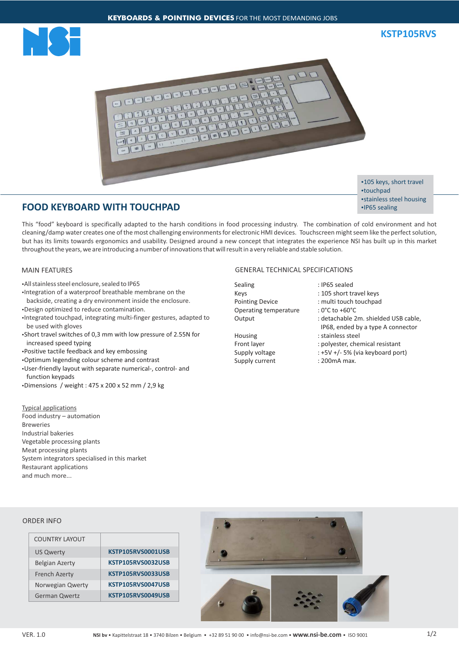



## **FOOD KEYBOARD WITH TOUCHPAD**

•105 keys, short travel •touchpad • stainless steel housing •IP65 sealing

This "food" keyboard is specifically adapted to the harsh conditions in food processing industry. The combination of cold environment and hot cleaning/damp water creates one of the most challenging environments for electronic HMI devices. Touchscreen might seem like the perfect solution, but has its limits towards ergonomics and usability. Designed around a new concept that integrates the experience NSI has built up in this market throughout the years, we are introducing a number of innovations that will result in a very reliable and stable solution.

## MAIN FEATURES

- All stainless steel enclosure, sealed to IP65
- •Integration of a waterproof breathable membrane on the backside, creating a dry environment inside the enclosure.
- •Design optimized to reduce contamination.
- Integrated touchpad, integrating multi-finger gestures, adapted to be used with gloves
- Short travel switches of 0,3 mm with low pressure of 2.55N for increased speed typing
- Positive tactile feedback and key embossing
- ŸOptimum legending colour scheme and contrast
- User-friendly layout with separate numerical-, control- and function keypads
- $\cdot$ Dimensions / weight : 475 x 200 x 52 mm / 2,9 kg

Typical applications Food industry – automation Breweries Industrial bakeries Vegetable processing plants Meat processing plants System integrators specialised in this market Restaurant applications and much more...

## GENERAL TECHNICAL SPECIFICATIONS

Sealing : IP65 sealed Keys : 105 short travel keys Pointing Device : multi touch touchpad Operating temperature : 0°C to +60°C

Housing : stainless steel Supply current : 200mA max.

- 
- 
- Output : detachable 2m. shielded USB cable, IP68, ended by a type A connector
- Front layer : polyester, chemical resistant
	-
- Supply voltage : +5V +/- 5% (via keyboard port)
	-

## ORDER INFO

| COUNTRY LAYOUT        |                   |
|-----------------------|-------------------|
| <b>US Qwerty</b>      | KSTP105RVS0001USB |
| <b>Belgian Azerty</b> | KSTP105RVS0032USB |
| <b>French Azerty</b>  | KSTP105RVS0033USB |
| Norwegian Qwerty      | KSTP105RVS0047USB |
| <b>German Qwertz</b>  | KSTP105RVS0049USB |